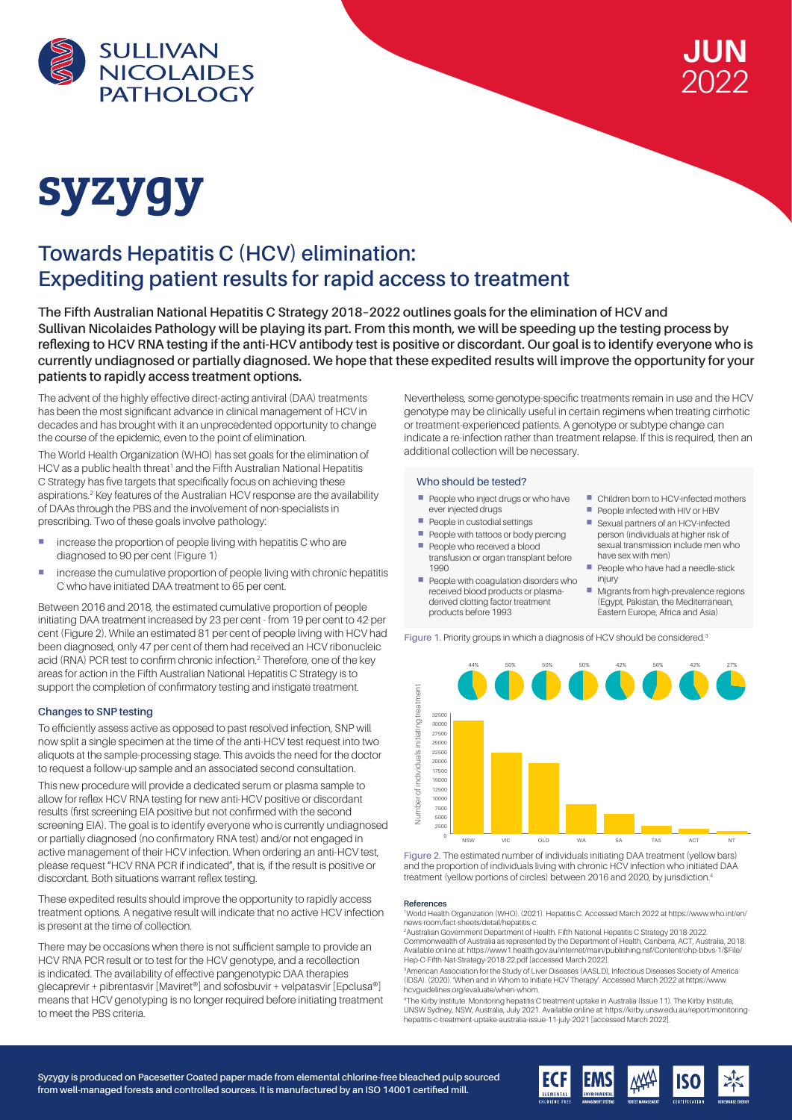



# syzygy

## **Towards Hepatitis C (HCV) elimination: Expediting patient results for rapid access to treatment**

**The Fifth Australian National Hepatitis C Strategy 2018–2022 outlines goals for the elimination of HCV and Sullivan Nicolaides Pathology will be playing its part. From this month, we will be speeding up the testing process by reflexing to HCV RNA testing if the anti-HCV antibody test is positive or discordant. Our goal is to identify everyone who is currently undiagnosed or partially diagnosed. We hope that these expedited results will improve the opportunity for your patients to rapidly access treatment options.**

The advent of the highly effective direct-acting antiviral (DAA) treatments has been the most significant advance in clinical management of HCV in decades and has brought with it an unprecedented opportunity to change the course of the epidemic, even to the point of elimination.

The World Health Organization (WHO) has set goals for the elimination of HCV as a public health threat<sup>1</sup> and the Fifth Australian National Hepatitis C Strategy has five targets that specifically focus on achieving these aspirations.<sup>2</sup> Key features of the Australian HCV response are the availability of DAAs through the PBS and the involvement of non-specialists in prescribing. Two of these goals involve pathology:

- **n** increase the proportion of people living with hepatitis C who are diagnosed to 90 per cent (Figure 1)
- **E** increase the cumulative proportion of people living with chronic hepatitis C who have initiated DAA treatment to 65 per cent.

Between 2016 and 2018, the estimated cumulative proportion of people initiating DAA treatment increased by 23 per cent - from 19 per cent to 42 per cent (Figure 2). While an estimated 81 per cent of people living with HCV had been diagnosed, only 47 per cent of them had received an HCV ribonucleic acid (RNA) PCR test to confirm chronic infection.2 Therefore, one of the key areas for action in the Fifth Australian National Hepatitis C Strategy is to support the completion of confirmatory testing and instigate treatment.

## **Changes to SNP testing**

To efficiently assess active as opposed to past resolved infection, SNP will now split a single specimen at the time of the anti-HCV test request into two aliquots at the sample-processing stage. This avoids the need for the doctor to request a follow-up sample and an associated second consultation.

This new procedure will provide a dedicated serum or plasma sample to allow for reflex HCV RNA testing for new anti-HCV positive or discordant results (first screening EIA positive but not confirmed with the second screening EIA). The goal is to identify everyone who is currently undiagnosed or partially diagnosed (no confirmatory RNA test) and/or not engaged in active management of their HCV infection. When ordering an anti-HCV test, please request "HCV RNA PCR if indicated", that is, if the result is positive or discordant. Both situations warrant reflex testing.

These expedited results should improve the opportunity to rapidly access treatment options. A negative result will indicate that no active HCV infection is present at the time of collection.

There may be occasions when there is not sufficient sample to provide an HCV RNA PCR result or to test for the HCV genotype, and a recollection is indicated. The availability of effective pangenotypic DAA therapies glecaprevir + pibrentasvir [Maviret®] and sofosbuvir + velpatasvir [Epclusa®] means that HCV genotyping is no longer required before initiating treatment to meet the PBS criteria.

Nevertheless, some genotype-specific treatments remain in use and the HCV genotype may be clinically useful in certain regimens when treating cirrhotic or treatment-experienced patients. A genotype or subtype change can indicate a re-infection rather than treatment relapse. If this is required, then an additional collection will be necessary.

> ■ Children born to HCV-infected mothers People infected with HIV or HBV ■ Sexual partners of an HCV-infected person (individuals at higher risk of sexual transmission include men who

People who have had a needle-stick

 Migrants from high-prevalence regions (Egypt, Pakistan, the Mediterranean, Eastern Europe, Africa and Asia)

have sex with men)

injury

### Who should be tested?

- People who inject drugs or who have ever injected drugs
- People in custodial settings
- People with tattoos or body piercing People who received a blood
- transfusion or organ transplant before 1990 People with coagulation disorders who
- received blood products or plasmaderived clotting factor treatment products before 1993

**Figure 1**. Priority groups in which a diagnosis of HCV should be considered.3



Figure 2. The estimated number of individuals initiating DAA treatment (yellow bars) and the proportion of individuals living with chronic HCV infection who initiated DAA treatment (yellow portions of circles) between 2016 and 2020, by jurisdiction.<sup>4</sup>

#### **References**

1 World Health Organization (WHO). (2021). Hepatitis C. Accessed March 2022 at https://www.who.int/en/ news-room/fact-sheets/detail/hepatitis-c.

2 Australian Government Department of Health. Fifth National Hepatitis C Strategy 2018-2022. Commonwealth of Australia as represented by the Department of Health, Canberra, ACT, Australia, 2018. Available online at: https://www1.health.gov.au/internet/main/publishing.nsf/Content/ohp-bbvs-1/\$File/ Hep-C-Fifth-Nat-Strategy-2018-22.pdf [accessed March 2022].

3 American Association for the Study of Liver Diseases (AASLD), Infectious Diseases Society of America (IDSA). (2020). 'When and in Whom to Initiate HCV Therapy'. Accessed March 2022 at https://www. hcvguidelines.org/evaluate/when-whom.

4 The Kirby Institute. Monitoring hepatitis C treatment uptake in Australia (Issue 11). The Kirby Institute, UNSW Sydney, NSW, Australia, July 2021. Available online at: https://kirby.unsw.edu.au/report/monitoring-hepatitis-c-treatment-uptake-australia-issue-11-july-2021 [accessed March 2022].

**Syzygy is produced on Pacesetter Coated paper made from elemental chlorine-free bleached pulp sourced from well-managed forests and controlled sources. It is manufactured by an ISO 14001 certified mill.**